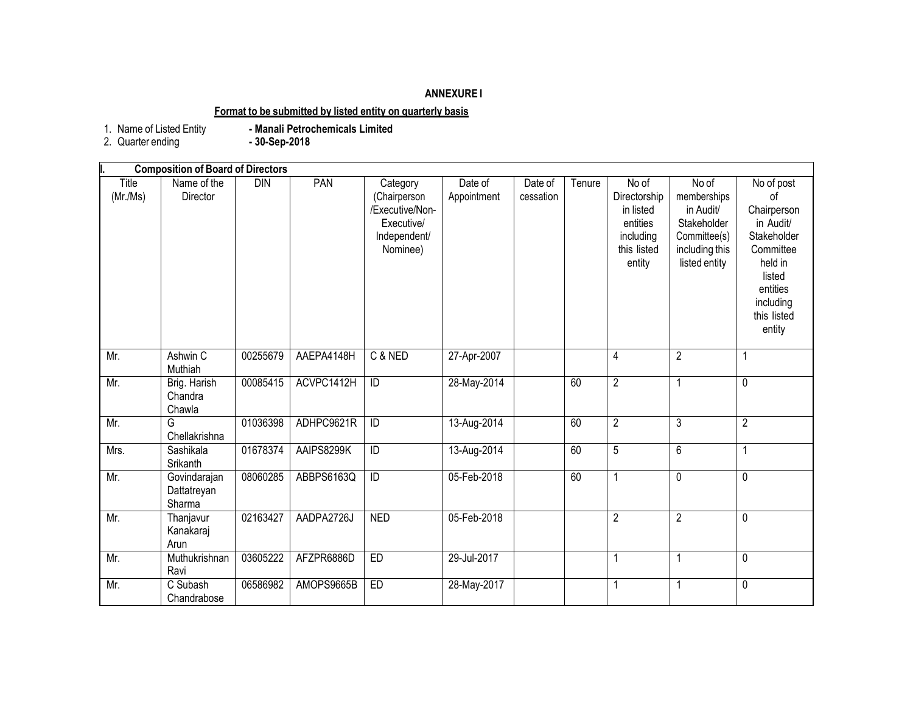# **ANNEXURE I**

## **Format to be submitted by listed entity on quarterly basis**

1. Name of Listed Entity<br>2. Quarter ending

**- Manali Petrochemicals Limited**<br>**-** 30-Sep-2018

|                   | <b>Composition of Board of Directors</b> |            |            |                                                                                       |                        |                      |        |                                                                                      |                                                                                                     |                                                                                                                                                 |
|-------------------|------------------------------------------|------------|------------|---------------------------------------------------------------------------------------|------------------------|----------------------|--------|--------------------------------------------------------------------------------------|-----------------------------------------------------------------------------------------------------|-------------------------------------------------------------------------------------------------------------------------------------------------|
| Title<br>(Mr./Ms) | Name of the<br>Director                  | <b>DIN</b> | PAN        | Category<br>(Chairperson<br>/Executive/Non-<br>Executive/<br>Independent/<br>Nominee) | Date of<br>Appointment | Date of<br>cessation | Tenure | No of<br>Directorship<br>in listed<br>entities<br>including<br>this listed<br>entity | No of<br>memberships<br>in Audit/<br>Stakeholder<br>Committee(s)<br>including this<br>listed entity | No of post<br>of<br>Chairperson<br>in Audit/<br>Stakeholder<br>Committee<br>held in<br>listed<br>entities<br>including<br>this listed<br>entity |
| Mr.               | Ashwin C<br>Muthiah                      | 00255679   | AAEPA4148H | C & NED                                                                               | 27-Apr-2007            |                      |        | 4                                                                                    | $\overline{2}$                                                                                      | 1                                                                                                                                               |
| Mr.               | Brig. Harish<br>Chandra<br>Chawla        | 00085415   | ACVPC1412H | ID                                                                                    | 28-May-2014            |                      | 60     | $\overline{2}$                                                                       | $\mathbf{1}$                                                                                        | $\pmb{0}$                                                                                                                                       |
| Mr.               | G<br>Chellakrishna                       | 01036398   | ADHPC9621R | $\overline{D}$                                                                        | 13-Aug-2014            |                      | 60     | $\overline{2}$                                                                       | 3                                                                                                   | $\overline{2}$                                                                                                                                  |
| Mrs.              | Sashikala<br>Srikanth                    | 01678374   | AAIPS8299K | ID                                                                                    | 13-Aug-2014            |                      | 60     | 5                                                                                    | 6                                                                                                   | 1                                                                                                                                               |
| Mr.               | Govindarajan<br>Dattatreyan<br>Sharma    | 08060285   | ABBPS6163Q | $\overline{D}$                                                                        | 05-Feb-2018            |                      | 60     | 1                                                                                    | $\overline{0}$                                                                                      | $\overline{0}$                                                                                                                                  |
| Mr.               | Thanjavur<br>Kanakaraj<br>Arun           | 02163427   | AADPA2726J | <b>NED</b>                                                                            | 05-Feb-2018            |                      |        | $\overline{2}$                                                                       | $\overline{2}$                                                                                      | 0                                                                                                                                               |
| Mr.               | Muthukrishnan<br>Ravi                    | 03605222   | AFZPR6886D | ED                                                                                    | 29-Jul-2017            |                      |        | 1                                                                                    | $\mathbf 1$                                                                                         | 0                                                                                                                                               |
| Mr.               | C Subash<br>Chandrabose                  | 06586982   | AMOPS9665B | ED                                                                                    | 28-May-2017            |                      |        |                                                                                      | 1                                                                                                   | 0                                                                                                                                               |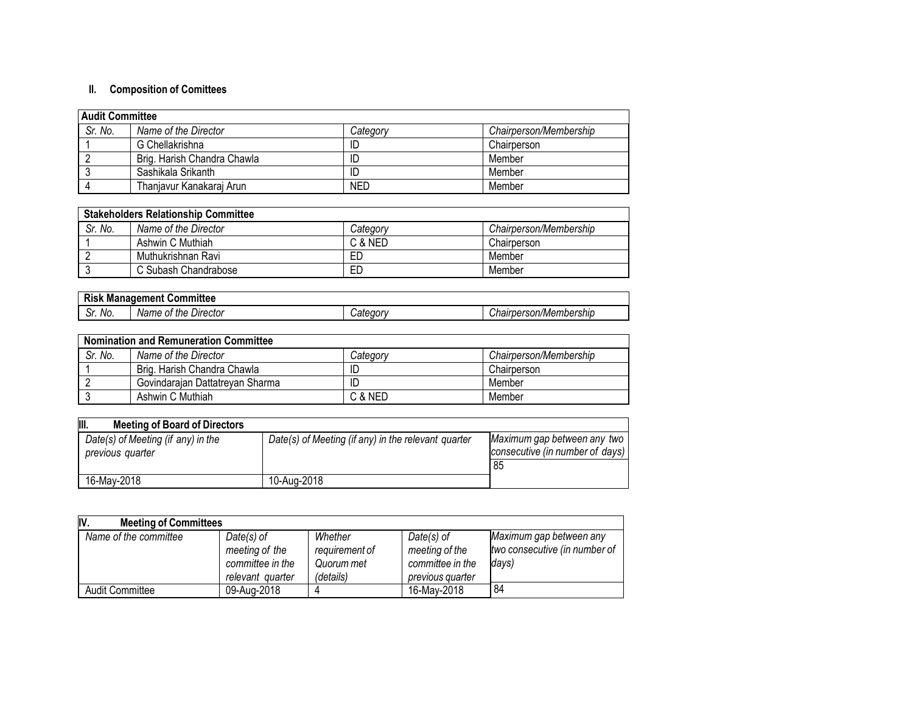# **II. Composition of Comittees**

| <b>Audit Committee</b> |                             |            |                        |  |
|------------------------|-----------------------------|------------|------------------------|--|
| Sr. No.                | Name of the Director        | Category   | Chairperson/Membership |  |
|                        | G Chellakrishna             | ID         | Chairperson            |  |
|                        | Brig. Harish Chandra Chawla | ID         | Member                 |  |
|                        | Sashikala Srikanth          | ID         | Member                 |  |
|                        | Thanjavur Kanakaraj Arun    | <b>NED</b> | Member                 |  |

| <b>Stakeholders Relationship Committee</b> |                      |          |                        |  |
|--------------------------------------------|----------------------|----------|------------------------|--|
| Sr. No.                                    | Name of the Director | Category | Chairperson/Membership |  |
|                                            | Ashwin C Muthiah     | C & NED  | Chairperson            |  |
|                                            | Muthukrishnan Ravi   | ЕD       | Member                 |  |
|                                            | C Subash Chandrabose | ЕD       | Member                 |  |

| Committee<br>Management<br><b>Risk</b> |                            |                |                        |  |
|----------------------------------------|----------------------------|----------------|------------------------|--|
| ົ<br>No.<br>. اب                       | Director<br>Name of<br>the | <i>Categor</i> | Chairperson/Membership |  |

| <b>Nomination and Remuneration Committee</b> |                                 |          |                        |  |
|----------------------------------------------|---------------------------------|----------|------------------------|--|
| Sr. No.                                      | Name of the Director            | Category | Chairperson/Membership |  |
|                                              | Brig, Harish Chandra Chawla     |          | Chairperson            |  |
|                                              | Govindarajan Dattatreyan Sharma |          | Member                 |  |
|                                              | Ashwin C Muthiah                | C & NED  | Member                 |  |

| III.<br><b>Meeting of Board of Directors</b>           |                                                     |                                                                        |
|--------------------------------------------------------|-----------------------------------------------------|------------------------------------------------------------------------|
| Date(s) of Meeting (if any) in the<br>previous quarter | Date(s) of Meeting (if any) in the relevant quarter | Maximum gap between any two<br>consecutive (in number of days)<br>' 85 |
| 16-May-2018                                            | 10-Aug-2018                                         |                                                                        |

| IV.<br><b>Meeting of Committees</b> |                  |                |                  |                               |
|-------------------------------------|------------------|----------------|------------------|-------------------------------|
| Name of the committee               | $Date(s)$ of     | Whether        | $Date(s)$ of     | Maximum gap between any       |
|                                     | meeting of the   | requirement of | meeting of the   | two consecutive (in number of |
|                                     | committee in the | Quorum met     | committee in the | days)                         |
|                                     | relevant quarter | (details)      | previous quarter |                               |
| <b>Audit Committee</b>              | 09-Aug-2018      |                | 16-May-2018      | 84                            |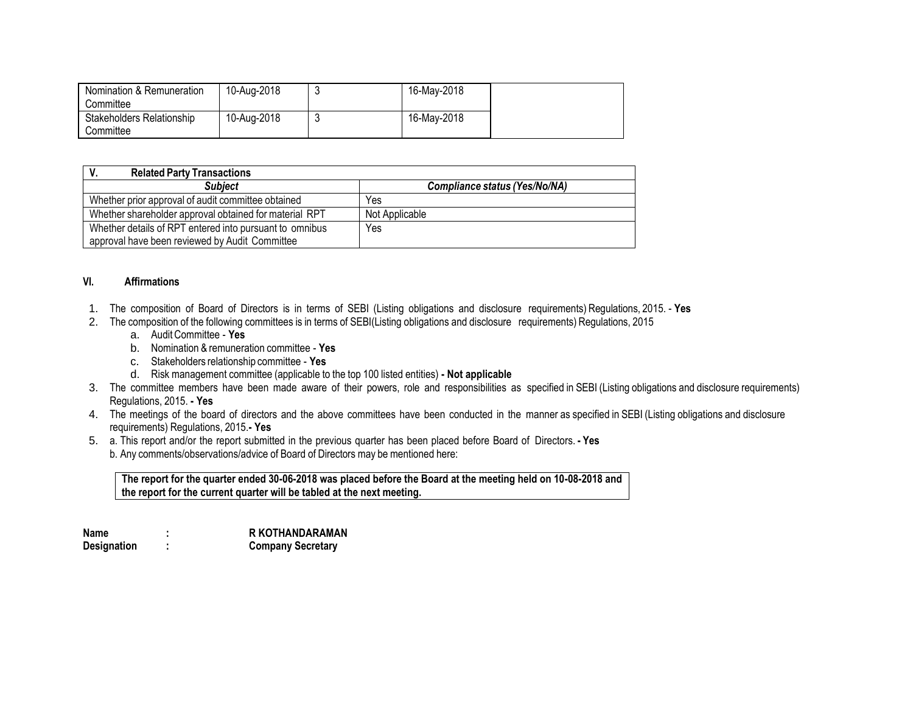| Nomination & Remuneration<br>Committee | 10-Aug-2018 | 16-May-2018 |  |
|----------------------------------------|-------------|-------------|--|
| Stakeholders Relationship<br>Committee | 10-Aug-2018 | 16-May-2018 |  |

| <b>Related Party Transactions</b>                       |                                      |
|---------------------------------------------------------|--------------------------------------|
| <b>Subject</b>                                          | <b>Compliance status (Yes/No/NA)</b> |
| Whether prior approval of audit committee obtained      | Yes                                  |
| Whether shareholder approval obtained for material RPT  | Not Applicable                       |
| Whether details of RPT entered into pursuant to omnibus | Yes                                  |
| approval have been reviewed by Audit Committee          |                                      |

#### **VI. Affirmations**

- 1. The composition of Board of Directors is in terms of SEBI (Listing obligations and disclosure requirements) Regulations, 2015. **Yes**
- 2. The composition of the following committees is in terms of SEBI(Listing obligations and disclosure requirements) Regulations, 2015
	- a. AuditCommittee **Yes**
	- b. Nomination & remuneration committee **Yes**
	- c. Stakeholders relationship committee **Yes**
	- d. Risk management committee (applicable to the top 100 listed entities) **- Not applicable**
- 3. The committee members have been made aware of their powers, role and responsibilities as specified in SEBI (Listing obligations and disclosure requirements) Regulations, 2015. **- Yes**
- 4. The meetings of the board of directors and the above committees have been conducted in the manner as specified in SEBI (Listing obligations and disclosure requirements) Regulations, 2015.**- Yes**
- 5. a. This report and/or the report submitted in the previous quarter has been placed before Board of Directors. **- Yes** b. Any comments/observations/advice of Board of Directors may be mentioned here:

**The report for the quarter ended 30-06-2018 was placed before the Board at the meeting held on 10-08-2018 and the report for the current quarter will be tabled at the next meeting.**

| Name        | <b>R KOTHANDARAMAN</b>   |
|-------------|--------------------------|
| Designation | <b>Company Secretary</b> |